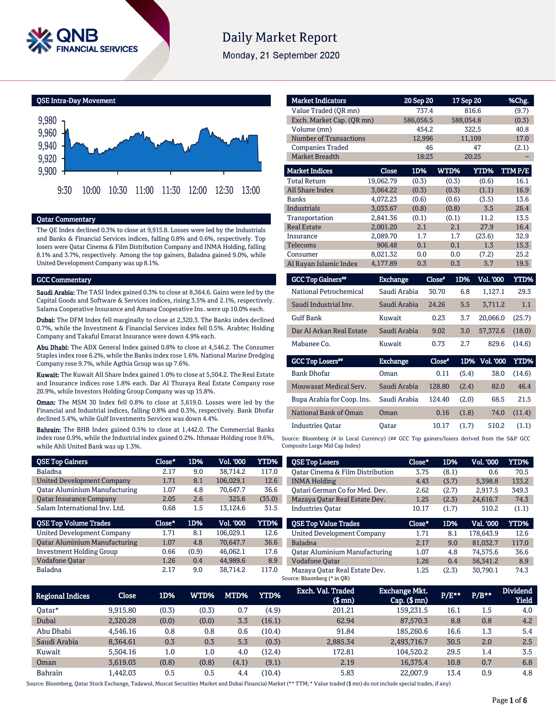

# **Daily Market Report**

Monday, 21 September 2020

QSE Intra-Day Movement



#### Qatar Commentary

The QE Index declined 0.3% to close at 9,915.8. Losses were led by the Industrials and Banks & Financial Services indices, falling 0.8% and 0.6%, respectively. Top losers were Qatar Cinema & Film Distribution Company and INMA Holding, falling 8.1% and 3.7%, respectively. Among the top gainers, Baladna gained 9.0%, while United Development Company was up 8.1%.

#### GCC Commentary

Saudi Arabia: The TASI Index gained 0.3% to close at 8,364.6. Gains were led by the Capital Goods and Software & Services indices, rising 3.5% and 2.1%, respectively. Salama Cooperative Insurance and Amana Cooperative Ins. were up 10.0% each.

Dubai: The DFM Index fell marginally to close at 2,320.3. The Banks index declined 0.7%, while the Investment & Financial Services index fell 0.5%. Arabtec Holding Company and Takaful Emarat Insurance were down 4.9% each.

Abu Dhabi: The ADX General Index gained 0.8% to close at 4,546.2. The Consumer Staples index rose 6.2%, while the Banks index rose 1.6%. National Marine Dredging Company rose 9.7%, while Agthia Group was up 7.6%.

Kuwait: The Kuwait All Share Index gained 1.0% to close at 5,504.2. The Real Estate and Insurance indices rose 1.8% each. Dar Al Thuraya Real Estate Company rose 20.9%, while Investors Holding Group Company was up 15.8%.

Oman: The MSM 30 Index fell 0.8% to close at 3,619.0. Losses were led by the Financial and Industrial indices, falling 0.8% and 0.3%, respectively. Bank Dhofar declined 5.4%, while Gulf Investments Services was down 4.4%.

Bahrain: The BHB Index gained 0.5% to close at 1,442.0. The Commercial Banks index rose 0.9%, while the Industrial index gained 0.2%. Ithmaar Holding rose 9.6%, while Ahli United Bank was up 1.3%.

| <b>Market Indicators</b>      |                 | 20 Sep 20  |        | 17 Sep 20             |             | %Chg.       |
|-------------------------------|-----------------|------------|--------|-----------------------|-------------|-------------|
| Value Traded (QR mn)          |                 | 737.4      |        | 816.6                 |             | (9.7)       |
| Exch. Market Cap. (OR mn)     |                 | 586,056.5  |        | 588,054.8             |             | (0.3)       |
| Volume (mn)                   |                 | 454.2      |        | 322.5                 |             | 40.8        |
| <b>Number of Transactions</b> |                 | 12,996     |        | 11,109                |             | 17.0        |
| <b>Companies Traded</b>       |                 |            | 46     |                       | 47          | (2.1)       |
| <b>Market Breadth</b>         |                 | 18:23      |        | 20:25                 |             |             |
| <b>Market Indices</b>         | Close           | <b>1D%</b> |        | WTD%                  | <b>YTD%</b> | TTMP/E      |
| <b>Total Return</b>           | 19,062.79       | (0.3)      |        | (0.3)                 | (0.6)       | 16.1        |
| <b>All Share Index</b>        | 3,064.22        | (0.3)      |        | (0.3)                 | (1.1)       | 16.9        |
| <b>Banks</b>                  | 4,072.23        | (0.6)      |        | (0.6)                 | (3.5)       | 13.6        |
| <b>Industrials</b>            | 3,033.67        | (0.8)      |        | (0.8)                 | 3.5         | 26.4        |
| Transportation                | 2,841.36        | (0.1)      |        | (0.1)                 | 11.2        | 13.5        |
| <b>Real Estate</b>            | 2,001.20        | 2.1        |        | 2.1                   | 27.9        | 16.4        |
| Insurance                     | 2,089.70        | 1.7        |        | 1.7                   | (23.6)      | 32.9        |
| <b>Telecoms</b>               | 906.48          | 0.1        |        | 0.1                   | 1.3         | 15.3        |
| Consumer                      | 8,021.32        | 0.0        |        | 0.0                   | (7.2)       | 25.2        |
| Al Rayan Islamic Index        | 4,177.89        | 0.3        |        | 0.3                   | 5.7         | 19.5        |
| <b>GCC Top Gainers**</b>      | <b>Exchange</b> |            | Close* | 1D%                   | Vol. '000   | <b>YTD%</b> |
| National Petrochemical        | Saudi Arabia    |            | 30.70  | 6.8                   | 1,127.1     | 29.3        |
| Saudi Industrial Inv.         | Saudi Arabia    |            | 24.26  | 5.5                   | 3,711.2     | 1.1         |
| <b>Gulf Bank</b>              | Kuwait          |            | 0.23   | 3.7                   | 20,066.0    | (25.7)      |
| Dar Al Arkan Real Estate      | Saudi Arabia    |            | 9.02   | 3.0                   | 57,372.6    | (18.0)      |
| Mabanee Co.                   | Kuwait          |            | 0.73   | 2.7                   | 829.6       | (14.6)      |
| <b>GCC Top Losers</b> "       | <b>Exchange</b> |            | Close* | 1D%                   | Vol. '000   | YTD%        |
| $D = 1.71 - C$                |                 |            | 0.11   | $\sqrt{P}$ $\sqrt{V}$ | 700         | (1.0)       |

| Bank Dhofar                   | Oman         | 0.11   | (5.4) | 38.0  | (14.6) |
|-------------------------------|--------------|--------|-------|-------|--------|
| <b>Mouwasat Medical Serv.</b> | Saudi Arabia | 128.80 | (2.4) | 82.0  | 46.4   |
| Bupa Arabia for Coop. Ins.    | Saudi Arabia | 124.40 | (2.0) | 68.5  | 21.5   |
| National Bank of Oman         | Oman         | 0.16   | (1.8) | 74.0  | (11.4) |
| <b>Industries Oatar</b>       | Oatar        | 10.17  | (1.7) | 510.2 | (1.1)  |

Source: Bloomberg (# in Local Currency) (## GCC Top gainers/losers derived from the S&P GCC Composite Large Mid Cap Index)

| <b>QSE Top Gainers</b>               | Close* | 1D%   | <b>Vol. '000</b> | YTD%   | <b>QSE Top Losers</b>                                        | Close* | 1D%   | <b>Vol. '000</b> | YTD%        |
|--------------------------------------|--------|-------|------------------|--------|--------------------------------------------------------------|--------|-------|------------------|-------------|
| Baladna                              | 2.17   | 9.0   | 38.714.2         | 117.0  | Oatar Cinema & Film Distribution                             | 3.75   | (8.1) | 0.6              | 70.5        |
| <b>United Development Company</b>    | 1.71   | 8.1   | 106.029.1        | 12.6   | <b>INMA Holding</b>                                          | 4.43   | (3.7) | 5.398.8          | 133.2       |
| <b>Qatar Aluminium Manufacturing</b> | 1.07   | 4.8   | 70.647.7         | 36.6   | Oatari German Co for Med. Dev.                               | 2.62   | (2.7) | 2.917.5          | 349.3       |
| <b>Oatar Insurance Company</b>       | 2.05   | 2.6   | 325.6            | (35.0) | Mazaya Qatar Real Estate Dev.                                | 1.25   | (2.3) | 24,616.7         | 74.3        |
| Salam International Inv. Ltd.        | 0.68   | 1.5   | 13.124.6         | 31.5   | <b>Industries Oatar</b>                                      | 10.17  | (1.7) | 510.2            | (1.1)       |
| <b>QSE Top Volume Trades</b>         | Close* | 1D%   | Vol. '000        | YTD%   | <b>OSE Top Value Trades</b>                                  | Close* | 1D%   | Val. '000        | <b>YTD%</b> |
| <b>United Development Company</b>    | 1.71   | 8.1   | 106.029.1        | 12.6   | <b>United Development Company</b>                            | 1.71   | 8.1   | 178.643.9        | 12.6        |
| <b>Oatar Aluminium Manufacturing</b> | 1.07   | 4.8   | 70.647.7         | 36.6   | <b>Baladna</b>                                               | 2.17   | 9.0   | 81.032.7         | 117.0       |
| <b>Investment Holding Group</b>      | 0.66   | (0.9) | 46,062.1         | 17.6   | Oatar Aluminium Manufacturing                                | 1.07   | 4.8   | 74.575.6         | 36.6        |
| <b>Vodafone Qatar</b>                | 1.26   | 0.4   | 44,989.6         | 8.9    | <b>Vodafone Qatar</b>                                        | 1.26   | 0.4   | 56,341.2         | 8.9         |
| <b>Baladna</b>                       | 2.17   | 9.0   | 38,714.2         | 117.0  | Mazaya Qatar Real Estate Dev.<br>Source: Bloomberg (* in OR) | 1.25   | (2.3) | 30,790.1         | 74.3        |

| <b>Regional Indices</b> | Close    | 1D%     | WTD%'   | MTD%  | <b>YTD%</b> | Exch. Val. Traded<br>$$$ mn $)$ | Exchange Mkt.<br>$Cap.$ (\$ $mn$ ) | P/E** | $P/B**$ | <b>Dividend</b><br><b>Yield</b> |
|-------------------------|----------|---------|---------|-------|-------------|---------------------------------|------------------------------------|-------|---------|---------------------------------|
| Oatar*                  | 9.915.80 | (0.3)   | (0.3)   | 0.7   | (4.9)       | 201.21                          | 159.231.5                          | 16.1  | 1.5     | 4.0                             |
| Dubai                   | 2,320.28 | (0.0)   | (0.0)   | 3.3   | (16.1)      | 62.94                           | 87,570.3                           | 8.8   | 0.8     | 4.2                             |
| Abu Dhabi               | 4.546.16 | 0.8     | 0.8     | 0.6   | (10.4)      | 91.84                           | 185.260.6                          | 16.6  | 1.3     | 5.4                             |
| Saudi Arabia            | 8.364.61 | 0.3     | 0.3     | 5.3   | (0.3)       | 2.885.34                        | 2,493,716.7                        | 30.5  | 2.0     | 2.5                             |
| Kuwait                  | 5.504.16 | $1.0\,$ | $1.0\,$ | 4.0   | (12.4)      | 172.81                          | 104.520.2                          | 29.5  | 1.4     | 3.5                             |
| Oman                    | 3.619.03 | (0.8)   | (0.8)   | (4.1) | (9.1)       | 2.19                            | 16.375.4                           | 10.8  | 0.7     | 6.8                             |
| <b>Bahrain</b>          | 1.442.03 | 0.5     | 0.5     | 4.4   | (10.4)      | 5.83                            | 22,007.9                           | 13.4  | 0.9     | 4.8                             |

Source: Bloomberg, Qatar Stock Exchange, Tadawul, Muscat Securities Market and Dubai Financial Market (\*\* TTM; \* Value traded (\$ mn) do not include special trades, if any)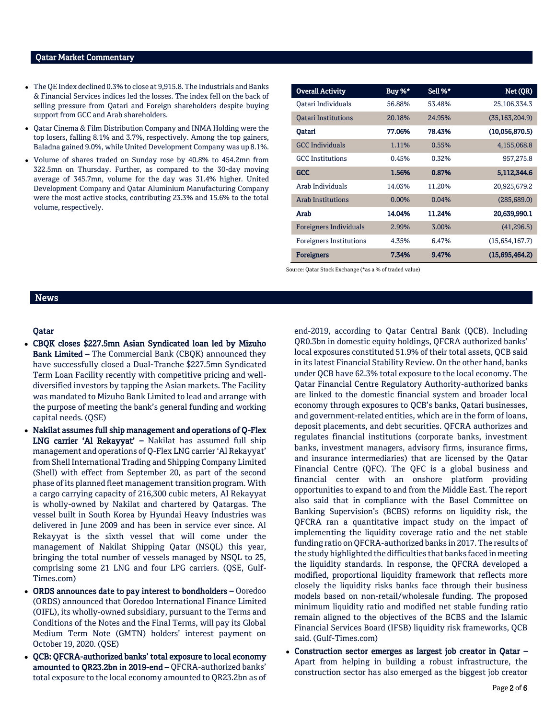#### Qatar Market Commentary

- The QE Index declined 0.3% to close at 9,915.8. The Industrials and Banks & Financial Services indices led the losses. The index fell on the back of selling pressure from Qatari and Foreign shareholders despite buying support from GCC and Arab shareholders.
- Qatar Cinema & Film Distribution Company and INMA Holding were the top losers, falling 8.1% and 3.7%, respectively. Among the top gainers, Baladna gained 9.0%, while United Development Company was up 8.1%.
- Volume of shares traded on Sunday rose by 40.8% to 454.2mn from 322.5mn on Thursday. Further, as compared to the 30-day moving average of 345.7mn, volume for the day was 31.4% higher. United Development Company and Qatar Aluminium Manufacturing Company were the most active stocks, contributing 23.3% and 15.6% to the total volume, respectively.

| <b>Overall Activity</b>        | Buy %* | Sell %* | Net (QR)         |
|--------------------------------|--------|---------|------------------|
| Oatari Individuals             | 56.88% | 53.48%  | 25,106,334.3     |
| <b>Oatari Institutions</b>     | 20.18% | 24.95%  | (35, 163, 204.9) |
| Oatari                         | 77.06% | 78.43%  | (10,056,870.5)   |
| <b>GCC</b> Individuals         | 1.11%  | 0.55%   | 4,155,068.8      |
| <b>GCC</b> Institutions        | 0.45%  | 0.32%   | 957,275.8        |
| GCC                            | 1.56%  | 0.87%   | 5,112,344.6      |
| Arab Individuals               | 14.03% | 11.20%  | 20,925,679.2     |
| <b>Arab Institutions</b>       | 0.00%  | 0.04%   | (285, 689.0)     |
| Arab                           | 14.04% | 11.24%  | 20,639,990.1     |
| <b>Foreigners Individuals</b>  | 2.99%  | 3.00%   | (41, 296.5)      |
| <b>Foreigners Institutions</b> | 4.35%  | 6.47%   | (15,654,167.7)   |
| <b>Foreigners</b>              | 7.34%  | 9.47%   | (15,695,464.2)   |

Source: Qatar Stock Exchange (\*as a % of traded value)

#### News

## Qatar

- CBQK closes \$227.5mn Asian Syndicated loan led by Mizuho Bank Limited – The Commercial Bank (CBQK) announced they have successfully closed a Dual-Tranche \$227.5mn Syndicated Term Loan Facility recently with competitive pricing and welldiversified investors by tapping the Asian markets. The Facility was mandated to Mizuho Bank Limited to lead and arrange with the purpose of meeting the bank's general funding and working capital needs. (QSE)
- Nakilat assumes full ship management and operations of Q-Flex LNG carrier 'Al Rekayyat' – Nakilat has assumed full ship management and operations of Q-Flex LNG carrier 'Al Rekayyat' from Shell International Trading and Shipping Company Limited (Shell) with effect from September 20, as part of the second phase of its planned fleet management transition program. With a cargo carrying capacity of 216,300 cubic meters, Al Rekayyat is wholly-owned by Nakilat and chartered by Qatargas. The vessel built in South Korea by Hyundai Heavy Industries was delivered in June 2009 and has been in service ever since. Al Rekayyat is the sixth vessel that will come under the management of Nakilat Shipping Qatar (NSQL) this year, bringing the total number of vessels managed by NSQL to 25, comprising some 21 LNG and four LPG carriers. (QSE, Gulf-Times.com)
- ORDS announces date to pay interest to bondholders Ooredoo (ORDS) announced that Ooredoo International Finance Limited (OIFL), its wholly-owned subsidiary, pursuant to the Terms and Conditions of the Notes and the Final Terms, will pay its Global Medium Term Note (GMTN) holders' interest payment on October 19, 2020. (QSE)
- QCB: QFCRA-authorized banks' total exposure to local economy amounted to QR23.2bn in 2019-end - QFCRA-authorized banks' total exposure to the local economy amounted to QR23.2bn as of

end-2019, according to Qatar Central Bank (QCB). Including QR0.3bn in domestic equity holdings, QFCRA authorized banks' local exposures constituted 51.9% of their total assets, QCB said in its latest Financial Stability Review. On the other hand, banks under QCB have 62.3% total exposure to the local economy. The Qatar Financial Centre Regulatory Authority-authorized banks are linked to the domestic financial system and broader local economy through exposures to QCB's banks, Qatari businesses, and government-related entities, which are in the form of loans, deposit placements, and debt securities. QFCRA authorizes and regulates financial institutions (corporate banks, investment banks, investment managers, advisory firms, insurance firms, and insurance intermediaries) that are licensed by the Qatar Financial Centre (QFC). The QFC is a global business and financial center with an onshore platform providing opportunities to expand to and from the Middle East. The report also said that in compliance with the Basel Committee on Banking Supervision's (BCBS) reforms on liquidity risk, the QFCRA ran a quantitative impact study on the impact of implementing the liquidity coverage ratio and the net stable funding ratio on QFCRA-authorized banks in 2017. The results of the study highlighted the difficulties that banks faced in meeting the liquidity standards. In response, the QFCRA developed a modified, proportional liquidity framework that reflects more closely the liquidity risks banks face through their business models based on non-retail/wholesale funding. The proposed minimum liquidity ratio and modified net stable funding ratio remain aligned to the objectives of the BCBS and the Islamic Financial Services Board (IFSB) liquidity risk frameworks, QCB said. (Gulf-Times.com)

 Construction sector emerges as largest job creator in Qatar – Apart from helping in building a robust infrastructure, the construction sector has also emerged as the biggest job creator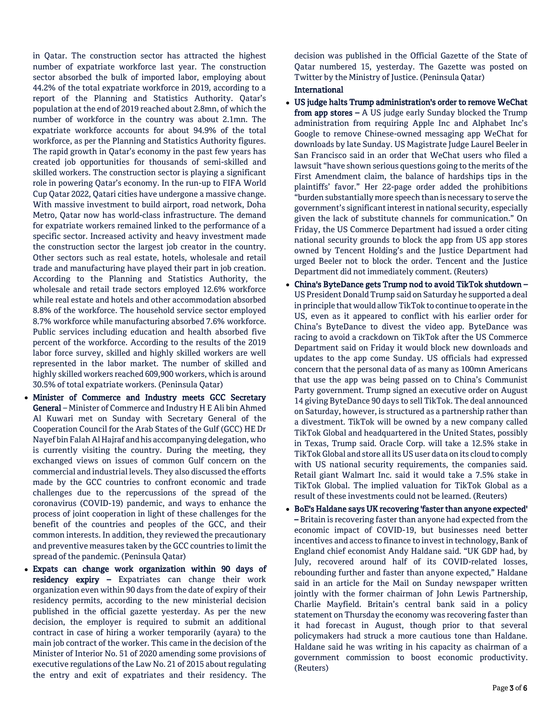in Qatar. The construction sector has attracted the highest number of expatriate workforce last year. The construction sector absorbed the bulk of imported labor, employing about 44.2% of the total expatriate workforce in 2019, according to a report of the Planning and Statistics Authority. Qatar's population at the end of 2019 reached about 2.8mn, of which the number of workforce in the country was about 2.1mn. The expatriate workforce accounts for about 94.9% of the total workforce, as per the Planning and Statistics Authority figures. The rapid growth in Qatar's economy in the past few years has created job opportunities for thousands of semi-skilled and skilled workers. The construction sector is playing a significant role in powering Qatar's economy. In the run-up to FIFA World Cup Qatar 2022, Qatari cities have undergone a massive change. With massive investment to build airport, road network, Doha Metro, Qatar now has world-class infrastructure. The demand for expatriate workers remained linked to the performance of a specific sector. Increased activity and heavy investment made the construction sector the largest job creator in the country. Other sectors such as real estate, hotels, wholesale and retail trade and manufacturing have played their part in job creation. According to the Planning and Statistics Authority, the wholesale and retail trade sectors employed 12.6% workforce while real estate and hotels and other accommodation absorbed 8.8% of the workforce. The household service sector employed 8.7% workforce while manufacturing absorbed 7.6% workforce. Public services including education and health absorbed five percent of the workforce. According to the results of the 2019 labor force survey, skilled and highly skilled workers are well represented in the labor market. The number of skilled and highly skilled workers reached 609,900 workers, which is around 30.5% of total expatriate workers. (Peninsula Qatar)

- Minister of Commerce and Industry meets GCC Secretary General – Minister of Commerce and Industry H E Ali bin Ahmed Al Kuwari met on Sunday with Secretary General of the Cooperation Council for the Arab States of the Gulf (GCC) HE Dr Nayef bin Falah Al Hajraf and his accompanying delegation, who is currently visiting the country. During the meeting, they exchanged views on issues of common Gulf concern on the commercial and industrial levels. They also discussed the efforts made by the GCC countries to confront economic and trade challenges due to the repercussions of the spread of the coronavirus (COVID-19) pandemic, and ways to enhance the process of joint cooperation in light of these challenges for the benefit of the countries and peoples of the GCC, and their common interests. In addition, they reviewed the precautionary and preventive measures taken by the GCC countries to limit the spread of the pandemic. (Peninsula Qatar)
- Expats can change work organization within 90 days of residency expiry – Expatriates can change their work organization even within 90 days from the date of expiry of their residency permits, according to the new ministerial decision published in the official gazette yesterday. As per the new decision, the employer is required to submit an additional contract in case of hiring a worker temporarily (ayara) to the main job contract of the worker. This came in the decision of the Minister of Interior No. 51 of 2020 amending some provisions of executive regulations of the Law No. 21 of 2015 about regulating the entry and exit of expatriates and their residency. The

decision was published in the Official Gazette of the State of Qatar numbered 15, yesterday. The Gazette was posted on Twitter by the Ministry of Justice. (Peninsula Qatar)

# International

- US judge halts Trump administration's order to remove WeChat from app stores  $-$  A US judge early Sunday blocked the Trump administration from requiring Apple Inc and Alphabet Inc's Google to remove Chinese-owned messaging app WeChat for downloads by late Sunday. US Magistrate Judge Laurel Beeler in San Francisco said in an order that WeChat users who filed a lawsuit "have shown serious questions going to the merits of the First Amendment claim, the balance of hardships tips in the plaintiffs' favor." Her 22-page order added the prohibitions "burden substantially more speech than is necessary to serve the government's significant interest in national security, especially given the lack of substitute channels for communication." On Friday, the US Commerce Department had issued a order citing national security grounds to block the app from US app stores owned by Tencent Holding's and the Justice Department had urged Beeler not to block the order. Tencent and the Justice Department did not immediately comment. (Reuters)
- China's ByteDance gets Trump nod to avoid TikTok shutdown US President Donald Trump said on Saturday he supported a deal in principle that would allow TikTok to continue to operate in the US, even as it appeared to conflict with his earlier order for China's ByteDance to divest the video app. ByteDance was racing to avoid a crackdown on TikTok after the US Commerce Department said on Friday it would block new downloads and updates to the app come Sunday. US officials had expressed concern that the personal data of as many as 100mn Americans that use the app was being passed on to China's Communist Party government. Trump signed an executive order on August 14 giving ByteDance 90 days to sell TikTok. The deal announced on Saturday, however, is structured as a partnership rather than a divestment. TikTok will be owned by a new company called TikTok Global and headquartered in the United States, possibly in Texas, Trump said. Oracle Corp. will take a 12.5% stake in TikTok Global and store all its US user data on its cloud to comply with US national security requirements, the companies said. Retail giant Walmart Inc. said it would take a 7.5% stake in TikTok Global. The implied valuation for TikTok Global as a result of these investments could not be learned. (Reuters)
- BoE's Haldane says UK recovering 'faster than anyone expected' – Britain is recovering faster than anyone had expected from the economic impact of COVID-19, but businesses need better incentives and access to finance to invest in technology, Bank of England chief economist Andy Haldane said. "UK GDP had, by July, recovered around half of its COVID-related losses, rebounding further and faster than anyone expected," Haldane said in an article for the Mail on Sunday newspaper written jointly with the former chairman of John Lewis Partnership, Charlie Mayfield. Britain's central bank said in a policy statement on Thursday the economy was recovering faster than it had forecast in August, though prior to that several policymakers had struck a more cautious tone than Haldane. Haldane said he was writing in his capacity as chairman of a government commission to boost economic productivity. (Reuters)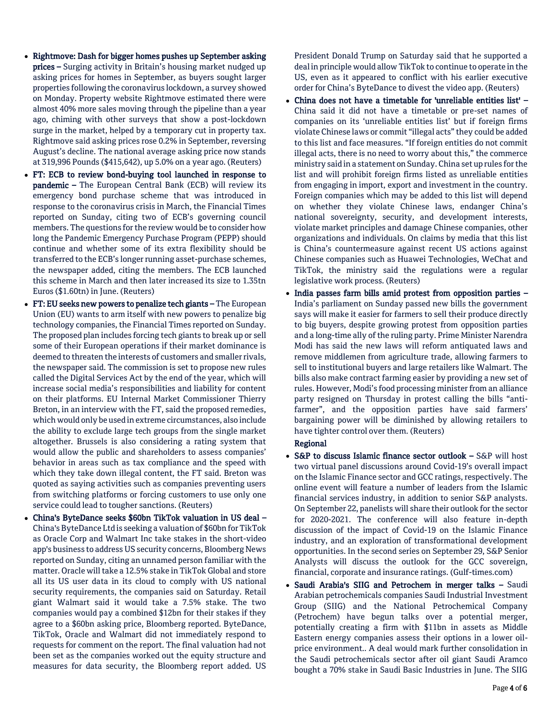- Rightmove: Dash for bigger homes pushes up September asking prices – Surging activity in Britain's housing market nudged up asking prices for homes in September, as buyers sought larger properties following the coronavirus lockdown, a survey showed on Monday. Property website Rightmove estimated there were almost 40% more sales moving through the pipeline than a year ago, chiming with other surveys that show a post-lockdown surge in the market, helped by a temporary cut in property tax. Rightmove said asking prices rose 0.2% in September, reversing August's decline. The national average asking price now stands at 319,996 Pounds (\$415,642), up 5.0% on a year ago. (Reuters)
- FT: ECB to review bond-buying tool launched in response to pandemic – The European Central Bank (ECB) will review its emergency bond purchase scheme that was introduced in response to the coronavirus crisis in March, the Financial Times reported on Sunday, citing two of ECB's governing council members. The questions for the review would be to consider how long the Pandemic Emergency Purchase Program (PEPP) should continue and whether some of its extra flexibility should be transferred to the ECB's longer running asset-purchase schemes, the newspaper added, citing the members. The ECB launched this scheme in March and then later increased its size to 1.35tn Euros (\$1.60tn) in June. (Reuters)
- FT: EU seeks new powers to penalize tech giants The European Union (EU) wants to arm itself with new powers to penalize big technology companies, the Financial Times reported on Sunday. The proposed plan includes forcing tech giants to break up or sell some of their European operations if their market dominance is deemed to threaten the interests of customers and smaller rivals, the newspaper said. The commission is set to propose new rules called the Digital Services Act by the end of the year, which will increase social media's responsibilities and liability for content on their platforms. EU Internal Market Commissioner Thierry Breton, in an interview with the FT, said the proposed remedies, which would only be used in extreme circumstances, also include the ability to exclude large tech groups from the single market altogether. Brussels is also considering a rating system that would allow the public and shareholders to assess companies' behavior in areas such as tax compliance and the speed with which they take down illegal content, the FT said. Breton was quoted as saying activities such as companies preventing users from switching platforms or forcing customers to use only one service could lead to tougher sanctions. (Reuters)
- China's ByteDance seeks \$60bn TikTok valuation in US deal China's ByteDance Ltd is seeking a valuation of \$60bn for TikTok as Oracle Corp and Walmart Inc take stakes in the short-video app's business to address US security concerns, Bloomberg News reported on Sunday, citing an unnamed person familiar with the matter. Oracle will take a 12.5% stake in TikTok Global and store all its US user data in its cloud to comply with US national security requirements, the companies said on Saturday. Retail giant Walmart said it would take a 7.5% stake. The two companies would pay a combined \$12bn for their stakes if they agree to a \$60bn asking price, Bloomberg reported. ByteDance, TikTok, Oracle and Walmart did not immediately respond to requests for comment on the report. The final valuation had not been set as the companies worked out the equity structure and measures for data security, the Bloomberg report added. US

President Donald Trump on Saturday said that he supported a deal in principle would allow TikTok to continue to operate in the US, even as it appeared to conflict with his earlier executive order for China's ByteDance to divest the video app. (Reuters)

- China does not have a timetable for 'unreliable entities list' China said it did not have a timetable or pre-set names of companies on its 'unreliable entities list' but if foreign firms violate Chinese laws or commit "illegal acts" they could be added to this list and face measures. "If foreign entities do not commit illegal acts, there is no need to worry about this," the commerce ministry said in a statement on Sunday. China set up rules for the list and will prohibit foreign firms listed as unreliable entities from engaging in import, export and investment in the country. Foreign companies which may be added to this list will depend on whether they violate Chinese laws, endanger China's national sovereignty, security, and development interests, violate market principles and damage Chinese companies, other organizations and individuals. On claims by media that this list is China's countermeasure against recent US actions against Chinese companies such as Huawei Technologies, WeChat and TikTok, the ministry said the regulations were a regular legislative work process. (Reuters)
- India passes farm bills amid protest from opposition parties -India's parliament on Sunday passed new bills the government says will make it easier for farmers to sell their produce directly to big buyers, despite growing protest from opposition parties and a long-time ally of the ruling party. Prime Minister Narendra Modi has said the new laws will reform antiquated laws and remove middlemen from agriculture trade, allowing farmers to sell to institutional buyers and large retailers like Walmart. The bills also make contract farming easier by providing a new set of rules. However, Modi's food processing minister from an alliance party resigned on Thursday in protest calling the bills "antifarmer", and the opposition parties have said farmers' bargaining power will be diminished by allowing retailers to have tighter control over them. (Reuters)

### Regional

- S&P to discuss Islamic finance sector outlook S&P will host two virtual panel discussions around Covid-19's overall impact on the Islamic Finance sector and GCC ratings, respectively. The online event will feature a number of leaders from the Islamic financial services industry, in addition to senior S&P analysts. On September 22, panelists will share their outlook for the sector for 2020-2021. The conference will also feature in-depth discussion of the impact of Covid-19 on the Islamic Finance industry, and an exploration of transformational development opportunities. In the second series on September 29, S&P Senior Analysts will discuss the outlook for the GCC sovereign, financial, corporate and insurance ratings. (Gulf-times.com)
- Saudi Arabia's SIIG and Petrochem in merger talks Saudi Arabian petrochemicals companies Saudi Industrial Investment Group (SIIG) and the National Petrochemical Company (Petrochem) have begun talks over a potential merger, potentially creating a firm with \$11bn in assets as Middle Eastern energy companies assess their options in a lower oilprice environment.. A deal would mark further consolidation in the Saudi petrochemicals sector after oil giant Saudi Aramco bought a 70% stake in Saudi Basic Industries in June. The SIIG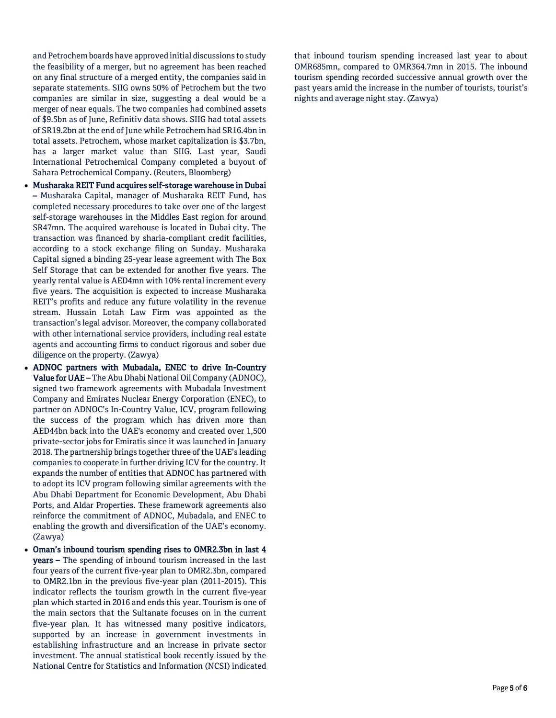and Petrochem boards have approved initial discussions to study the feasibility of a merger, but no agreement has been reached on any final structure of a merged entity, the companies said in separate statements. SIIG owns 50% of Petrochem but the two companies are similar in size, suggesting a deal would be a merger of near equals. The two companies had combined assets of \$9.5bn as of June, Refinitiv data shows. SIIG had total assets of SR19.2bn at the end of June while Petrochem had SR16.4bn in total assets. Petrochem, whose market capitalization is \$3.7bn, has a larger market value than SIIG. Last year, Saudi International Petrochemical Company completed a buyout of Sahara Petrochemical Company. (Reuters, Bloomberg)

- Musharaka REIT Fund acquires self-storage warehouse in Dubai – Musharaka Capital, manager of Musharaka REIT Fund, has completed necessary procedures to take over one of the largest self-storage warehouses in the Middles East region for around SR47mn. The acquired warehouse is located in Dubai city. The transaction was financed by sharia-compliant credit facilities, according to a stock exchange filing on Sunday. Musharaka Capital signed a binding 25-year lease agreement with The Box Self Storage that can be extended for another five years. The yearly rental value is AED4mn with 10% rental increment every five years. The acquisition is expected to increase Musharaka REIT's profits and reduce any future volatility in the revenue stream. Hussain Lotah Law Firm was appointed as the transaction's legal advisor. Moreover, the company collaborated with other international service providers, including real estate agents and accounting firms to conduct rigorous and sober due diligence on the property. (Zawya)
- ADNOC partners with Mubadala, ENEC to drive In-Country Value for UAE – The Abu Dhabi National Oil Company (ADNOC), signed two framework agreements with Mubadala Investment Company and Emirates Nuclear Energy Corporation (ENEC), to partner on ADNOC's In-Country Value, ICV, program following the success of the program which has driven more than AED44bn back into the UAE's economy and created over 1,500 private-sector jobs for Emiratis since it was launched in January 2018. The partnership brings together three of the UAE's leading companies to cooperate in further driving ICV for the country. It expands the number of entities that ADNOC has partnered with to adopt its ICV program following similar agreements with the Abu Dhabi Department for Economic Development, Abu Dhabi Ports, and Aldar Properties. These framework agreements also reinforce the commitment of ADNOC, Mubadala, and ENEC to enabling the growth and diversification of the UAE's economy. (Zawya)
- Oman's inbound tourism spending rises to OMR2.3bn in last 4 years – The spending of inbound tourism increased in the last four years of the current five-year plan to OMR2.3bn, compared to OMR2.1bn in the previous five-year plan (2011-2015). This indicator reflects the tourism growth in the current five-year plan which started in 2016 and ends this year. Tourism is one of the main sectors that the Sultanate focuses on in the current five-year plan. It has witnessed many positive indicators, supported by an increase in government investments in establishing infrastructure and an increase in private sector investment. The annual statistical book recently issued by the National Centre for Statistics and Information (NCSI) indicated

that inbound tourism spending increased last year to about OMR685mn, compared to OMR364.7mn in 2015. The inbound tourism spending recorded successive annual growth over the past years amid the increase in the number of tourists, tourist's nights and average night stay. (Zawya)